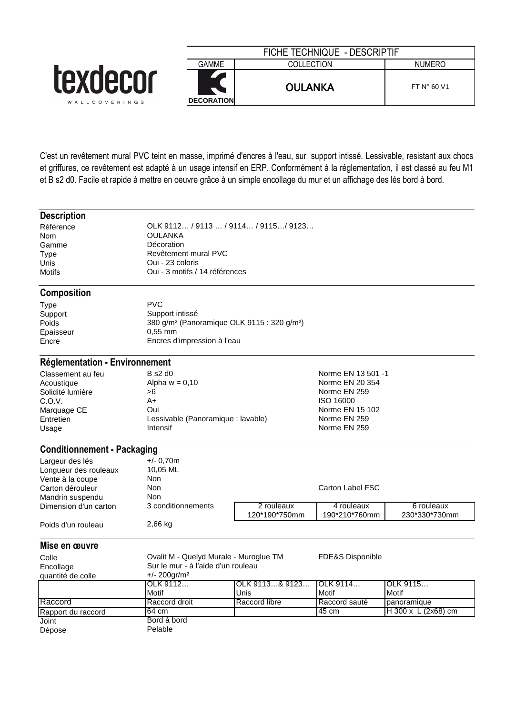|                           |                                     | FICHE TECHNIQUE - DESCRIPTIF |                      |  |  |
|---------------------------|-------------------------------------|------------------------------|----------------------|--|--|
|                           | GAMME                               | COLLECTION                   | <b>NUMERO</b>        |  |  |
| texdecor<br>WALLCOVERINGS | $\blacksquare$<br><b>DECORATION</b> | <b>OULANKA</b>               | FT $N^{\circ}$ 60 V1 |  |  |

C'est un revêtement mural PVC teint en masse, imprimé d'encres à l'eau, sur support intissé. Lessivable, resistant aux chocs et griffures, ce revêtement est adapté à un usage intensif en ERP. Conformément à la réglementation, il est classé au feu M1 et B s2 d0. Facile et rapide à mettre en oeuvre grâce à un simple encollage du mur et un affichage des lés bord à bord.

| <b>Description</b> |  |
|--------------------|--|
|                    |  |

Référence OLK 9112… / 9113 … / 9114… / 9115…/ 9123… **OULANKA** Gamme Décoration Type Revêtement mural PVC<br>
Unis Cui - 23 coloris Unis Cui - 23 coloris<br>
Motifs Cui - 3 motifs / Oui - 3 motifs / 14 références

# **Composition**

| Type      | <b>PVC</b>                                                          |
|-----------|---------------------------------------------------------------------|
| Support   | Support intissé                                                     |
| Poids     | 380 g/m <sup>2</sup> (Panoramique OLK 9115 : 320 g/m <sup>2</sup> ) |
| Epaisseur | $0.55$ mm                                                           |
| Encre     | Encres d'impression à l'eau                                         |
|           |                                                                     |

# **Réglementation - Environnement**

| Classement au feu | B s2 d0                            | Norme EN 13 501 -1 |
|-------------------|------------------------------------|--------------------|
| Acoustique        | Alpha $w = 0.10$                   | Norme EN 20 354    |
| Solidité lumière  | >6                                 | Norme EN 259       |
| C.O.V.            | A+                                 | ISO 16000          |
| Marquage CE       | Oui                                | Norme EN 15 102    |
| Entretien         | Lessivable (Panoramique : lavable) | Norme EN 259       |
| Usage             | <b>Intensif</b>                    | Norme EN 259       |

# **Conditionnement - Packaging**

| Largeur des lés       | $+/- 0.70$ m       |               |                  |               |
|-----------------------|--------------------|---------------|------------------|---------------|
| Longueur des rouleaux | 10,05 ML           |               |                  |               |
| Vente à la coupe      | Non.               |               |                  |               |
| Carton dérouleur      | Non                |               | Carton Label FSC |               |
| Mandrin suspendu      | Non                |               |                  |               |
| Dimension d'un carton | 3 conditionnements | 2 rouleaux    | 4 rouleaux       | 6 rouleaux    |
|                       |                    | 120*190*750mm | 190*210*760mm    | 230*330*730mm |
| Poids d'un rouleau    | 2,66 kg            |               |                  |               |

| Mise en œuvre      |                             |                                        |               |                       |  |
|--------------------|-----------------------------|----------------------------------------|---------------|-----------------------|--|
| Colle              |                             | Ovalit M - Quelyd Murale - Muroglue TM |               | FDE&S Disponible      |  |
| Encollage          |                             | Sur le mur - à l'aide d'un rouleau     |               |                       |  |
| quantité de colle  | $+/- 200$ gr/m <sup>2</sup> |                                        |               |                       |  |
|                    | OLK 9112                    | OLK 9113& 9123 OLK 9114                |               | OLK 9115              |  |
|                    | Motif                       | Unis                                   | Motif         | Motif                 |  |
| Raccord            | Raccord droit               | Raccord libre                          | Raccord sauté | panoramique           |  |
| Rapport du raccord | 64 cm                       |                                        | 45 cm         | $H$ 300 x L (2x68) cm |  |
| Joint              | Bord à bord                 |                                        |               |                       |  |
| Dépose             | Pelable                     |                                        |               |                       |  |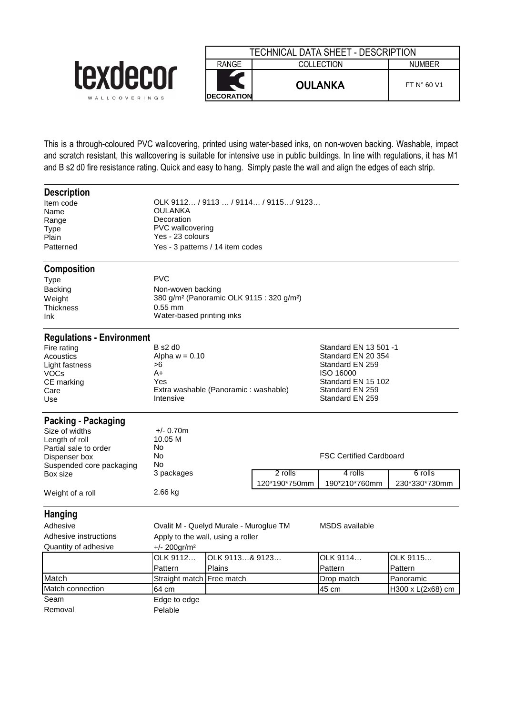

| TECHNICAL DATA SHEET - DESCRIPTION |                             |                      |  |  |  |
|------------------------------------|-----------------------------|----------------------|--|--|--|
| RANGE                              | COLLECTION<br><b>NUMBER</b> |                      |  |  |  |
| <b>IDECORATION</b>                 | <b>OULANKA</b>              | FT $N^{\circ}$ 60 V1 |  |  |  |

This is a through-coloured PVC wallcovering, printed using water-based inks, on non-woven backing. Washable, impact and scratch resistant, this wallcovering is suitable for intensive use in public buildings. In line with regulations, it has M1 and B s2 d0 fire resistance rating. Quick and easy to hang. Simply paste the wall and align the edges of each strip.

| <b>Description</b>               |                                                                   |                |                          |                                |                          |  |
|----------------------------------|-------------------------------------------------------------------|----------------|--------------------------|--------------------------------|--------------------------|--|
| Item code                        | OLK 9112 / 9113 / 9114 / 9115 / 9123                              |                |                          |                                |                          |  |
| Name                             | <b>OULANKA</b>                                                    |                |                          |                                |                          |  |
| Range                            | Decoration                                                        |                |                          |                                |                          |  |
| Type                             | <b>PVC</b> wallcovering<br>Yes - 23 colours                       |                |                          |                                |                          |  |
| Plain                            |                                                                   |                |                          |                                |                          |  |
| Patterned                        | Yes - 3 patterns / 14 item codes                                  |                |                          |                                |                          |  |
| <b>Composition</b>               |                                                                   |                |                          |                                |                          |  |
| Type                             | <b>PVC</b>                                                        |                |                          |                                |                          |  |
| <b>Backing</b>                   | Non-woven backing                                                 |                |                          |                                |                          |  |
| Weight                           | 380 g/m <sup>2</sup> (Panoramic OLK 9115 : 320 g/m <sup>2</sup> ) |                |                          |                                |                          |  |
| <b>Thickness</b>                 | $0.55$ mm                                                         |                |                          |                                |                          |  |
| Ink.                             | Water-based printing inks                                         |                |                          |                                |                          |  |
| <b>Regulations - Environment</b> |                                                                   |                |                          |                                |                          |  |
| Fire rating                      | $B$ s2 d0                                                         |                |                          | Standard EN 13 501 -1          |                          |  |
| Acoustics                        | Alpha $w = 0.10$                                                  |                |                          | Standard EN 20 354             |                          |  |
| Light fastness                   | >6                                                                |                |                          | Standard EN 259                |                          |  |
| VOCs                             | A+                                                                |                |                          | ISO 16000                      |                          |  |
| CE marking                       | Yes                                                               |                |                          | Standard EN 15 102             |                          |  |
| Care                             | Extra washable (Panoramic: washable)                              |                |                          | Standard EN 259                |                          |  |
| Use                              | Intensive                                                         |                |                          | Standard EN 259                |                          |  |
| Packing - Packaging              |                                                                   |                |                          |                                |                          |  |
| Size of widths                   | $+/- 0.70m$                                                       |                |                          |                                |                          |  |
| Length of roll                   | 10.05 M                                                           |                |                          |                                |                          |  |
| Partial sale to order            | No                                                                |                |                          |                                |                          |  |
| Dispenser box                    | No                                                                |                |                          | <b>FSC Certified Cardboard</b> |                          |  |
| Suspended core packaging         | No                                                                |                |                          |                                |                          |  |
| Box size                         | 3 packages                                                        |                | 2 rolls<br>120*190*750mm | 4 rolls<br>190*210*760mm       | 6 rolls<br>230*330*730mm |  |
| Weight of a roll                 | 2.66 kg                                                           |                |                          |                                |                          |  |
| <b>Hanging</b>                   |                                                                   |                |                          |                                |                          |  |
| Adhesive                         | Ovalit M - Quelyd Murale - Muroglue TM                            |                |                          | MSDS available                 |                          |  |
| Adhesive instructions            | Apply to the wall, using a roller                                 |                |                          |                                |                          |  |
| Quantity of adhesive             | $+/- 200$ gr/m <sup>2</sup>                                       |                |                          |                                |                          |  |
|                                  | OLK 9112                                                          | OLK 9113& 9123 |                          | OLK 9114                       | OLK 9115                 |  |
|                                  | Pattern                                                           | Plains         |                          | Pattern                        | Pattern                  |  |
| Match                            | Straight match                                                    | Free match     |                          | Drop match                     | Panoramic                |  |
| Match connection                 | 64 cm                                                             |                |                          | 45 cm                          | H300 x L(2x68) cm        |  |
| Seam                             | Edge to edge                                                      |                |                          |                                |                          |  |
| Removal                          | Pelable                                                           |                |                          |                                |                          |  |
|                                  |                                                                   |                |                          |                                |                          |  |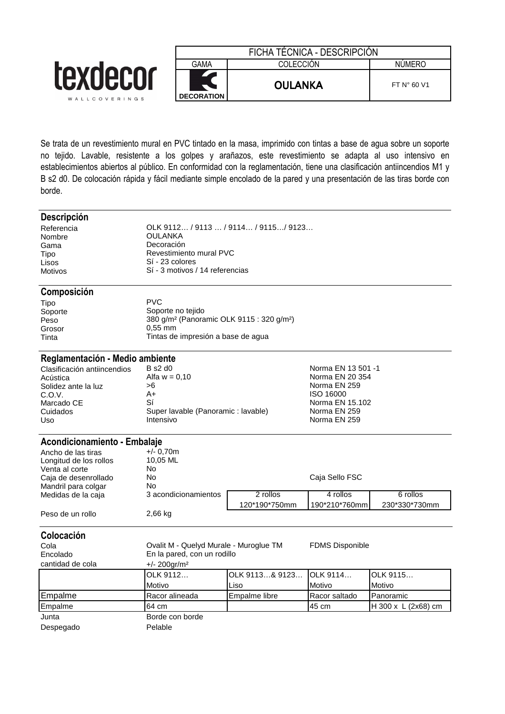

Se trata de un revestimiento mural en PVC tintado en la masa, imprimido con tintas a base de agua sobre un soporte no tejido. Lavable, resistente a los golpes y arañazos, este revestimiento se adapta al uso intensivo en establecimientos abiertos al público. En conformidad con la reglamentación, tiene una clasificación antiincendios M1 y B s2 d0. De colocación rápida y fácil mediante simple encolado de la pared y una presentación de las tiras borde con borde.

### **Descripción**

Nombre OULANKA<br>Gama Decoración

Referencia OLK 9112… / 9113 … / 9114… / 9115…/ 9123… Decoración Tipo Revestimiento mural PVC Lisos Sí - 23 colores Motivos Sí - 3 motivos / 14 referencias

### **Composición**

| Tipo    | PVC.                                                              |
|---------|-------------------------------------------------------------------|
| Soporte | Soporte no tejido                                                 |
| Peso    | 380 g/m <sup>2</sup> (Panoramic OLK 9115 : 320 g/m <sup>2</sup> ) |
| Grosor  | $0.55$ mm                                                         |
| Tinta   | Tintas de impresión a base de aqua                                |

### **Reglamentación - Medio ambiente**

| Clasificación antiincendios | B s2 d0                            | Norma EN 13 501 -1 |
|-----------------------------|------------------------------------|--------------------|
| Acústica                    | Alfa $w = 0.10$                    | Norma EN 20 354    |
| Solidez ante la luz         | >6                                 | Norma EN 259       |
| C.O.V.                      | A+                                 | ISO 16000          |
| Marcado CE                  | Sí                                 | Norma EN 15.102    |
| Cuidados                    | Super lavable (Panoramic: lavable) | Norma EN 259       |
| Uso                         | Intensivo                          | Norma EN 259       |
|                             |                                    |                    |

#### **Acondicionamiento - Embalaje**<br>Ancho de las tiras +/-0.70m Ancho de las tiras  $+/- 0,70$ m<br>
Longitud de los rollos (10.05 ML) Longitud de los rollos 10,<br>Venta al corte 100 Venta al corte Mo<br>Caia de desenrollado Mo Caja de desenrollado No Caja Sello FSC Mandril para colgar<br>Medidas de la caja 3 acondicionamientos **2 rollos 4 rollos 6 rollos** 6 rollos 120\*190\*750mm 190\*210\*760mm 230\*330\*730mm Peso de un rollo 2,66 kg

| Colocación<br>Cola<br>Encolado<br>cantidad de cola | Ovalit M - Quelyd Murale - Muroglue TM<br>En la pared, con un rodillo<br>$+/- 200$ gr/m <sup>2</sup> |                        | <b>FDMS Disponible</b> |                     |
|----------------------------------------------------|------------------------------------------------------------------------------------------------------|------------------------|------------------------|---------------------|
|                                                    | OLK 9112<br>Motivo                                                                                   | OLK 9113& 9123<br>Liso | OLK 9114<br>Motivo     | OLK 9115<br>Motivo  |
| Empalme                                            | Racor alineada                                                                                       | Empalme libre          | Racor saltado          | Panoramic           |
| Empalme                                            | 64 cm                                                                                                |                        | 45 cm                  | H 300 x L (2x68) cm |
| Junta<br>Despegado                                 | Borde con borde<br>Pelable                                                                           |                        |                        |                     |